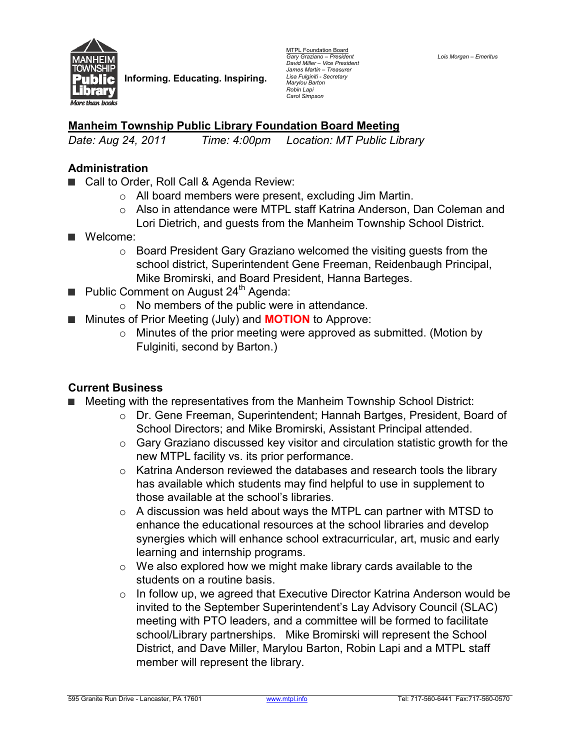

**Informing. Educating. Inspiring.** 

MTPL Foundation Board *Gary Graziano – President David Miller – Vice President James Martin – Treasurer Lisa Fulginiti - Secretary Marylou Barton Robin Lapi Carol Simpson* 

*Lois Morgan – Emeritus* 

## **Manheim Township Public Library Foundation Board Meeting**

*Date: Aug 24, 2011 Time: 4:00pm Location: MT Public Library* 

### **Administration**

- Call to Order, Roll Call & Agenda Review:
	- o All board members were present, excluding Jim Martin.
	- o Also in attendance were MTPL staff Katrina Anderson, Dan Coleman and Lori Dietrich, and guests from the Manheim Township School District.
- **■** Welcome:
	- $\circ$  Board President Gary Graziano welcomed the visiting quests from the school district, Superintendent Gene Freeman, Reidenbaugh Principal, Mike Bromirski, and Board President, Hanna Barteges.
- Public Comment on August 24<sup>th</sup> Agenda:
	- o No members of the public were in attendance.
- Minutes of Prior Meeting (July) and **MOTION** to Approve:
	- $\circ$  Minutes of the prior meeting were approved as submitted. (Motion by Fulginiti, second by Barton.)

## **Current Business**

- **■** Meeting with the representatives from the Manheim Township School District:
	- o Dr. Gene Freeman, Superintendent; Hannah Bartges, President, Board of School Directors; and Mike Bromirski, Assistant Principal attended.
	- o Gary Graziano discussed key visitor and circulation statistic growth for the new MTPL facility vs. its prior performance.
	- o Katrina Anderson reviewed the databases and research tools the library has available which students may find helpful to use in supplement to those available at the school's libraries.
	- $\circ$  A discussion was held about ways the MTPL can partner with MTSD to enhance the educational resources at the school libraries and develop synergies which will enhance school extracurricular, art, music and early learning and internship programs.
	- $\circ$  We also explored how we might make library cards available to the students on a routine basis.
	- o In follow up, we agreed that Executive Director Katrina Anderson would be invited to the September Superintendent's Lay Advisory Council (SLAC) meeting with PTO leaders, and a committee will be formed to facilitate school/Library partnerships. Mike Bromirski will represent the School District, and Dave Miller, Marylou Barton, Robin Lapi and a MTPL staff member will represent the library.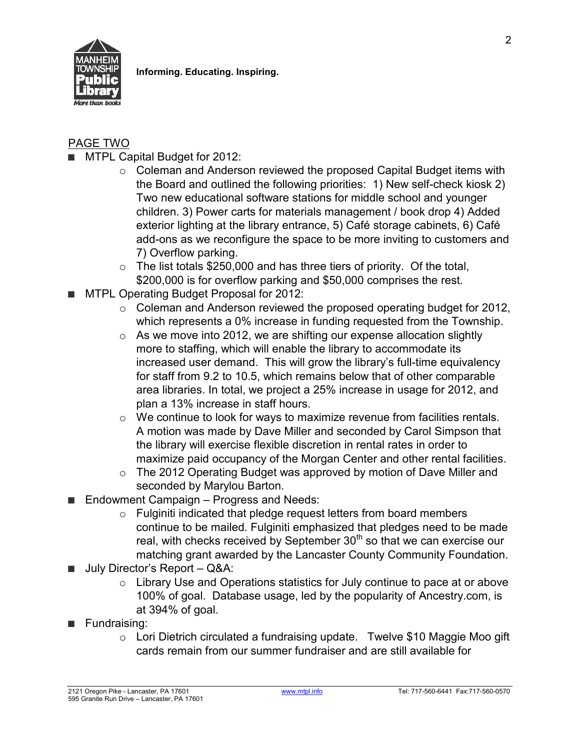

2

# PAGE TWO

- MTPL Capital Budget for 2012:
	- o Coleman and Anderson reviewed the proposed Capital Budget items with the Board and outlined the following priorities: 1) New self-check kiosk 2) Two new educational software stations for middle school and younger children. 3) Power carts for materials management / book drop 4) Added exterior lighting at the library entrance, 5) Café storage cabinets, 6) Café add-ons as we reconfigure the space to be more inviting to customers and 7) Overflow parking.
	- $\circ$  The list totals \$250,000 and has three tiers of priority. Of the total, \$200,000 is for overflow parking and \$50,000 comprises the rest.
- MTPL Operating Budget Proposal for 2012:
	- o Coleman and Anderson reviewed the proposed operating budget for 2012, which represents a 0% increase in funding requested from the Township.
	- o As we move into 2012, we are shifting our expense allocation slightly more to staffing, which will enable the library to accommodate its increased user demand. This will grow the library's full-time equivalency for staff from 9.2 to 10.5, which remains below that of other comparable area libraries. In total, we project a 25% increase in usage for 2012, and plan a 13% increase in staff hours.
	- o We continue to look for ways to maximize revenue from facilities rentals. A motion was made by Dave Miller and seconded by Carol Simpson that the library will exercise flexible discretion in rental rates in order to maximize paid occupancy of the Morgan Center and other rental facilities.
	- $\circ$  The 2012 Operating Budget was approved by motion of Dave Miller and seconded by Marylou Barton.
- Endowment Campaign Progress and Needs:
	- o Fulginiti indicated that pledge request letters from board members continue to be mailed. Fulginiti emphasized that pledges need to be made real, with checks received by September 30<sup>th</sup> so that we can exercise our matching grant awarded by the Lancaster County Community Foundation.
- July Director's Report Q&A:
	- o Library Use and Operations statistics for July continue to pace at or above 100% of goal. Database usage, led by the popularity of Ancestry.com, is at 394% of goal.
- **■** Fundraising:
	- o Lori Dietrich circulated a fundraising update. Twelve \$10 Maggie Moo gift cards remain from our summer fundraiser and are still available for